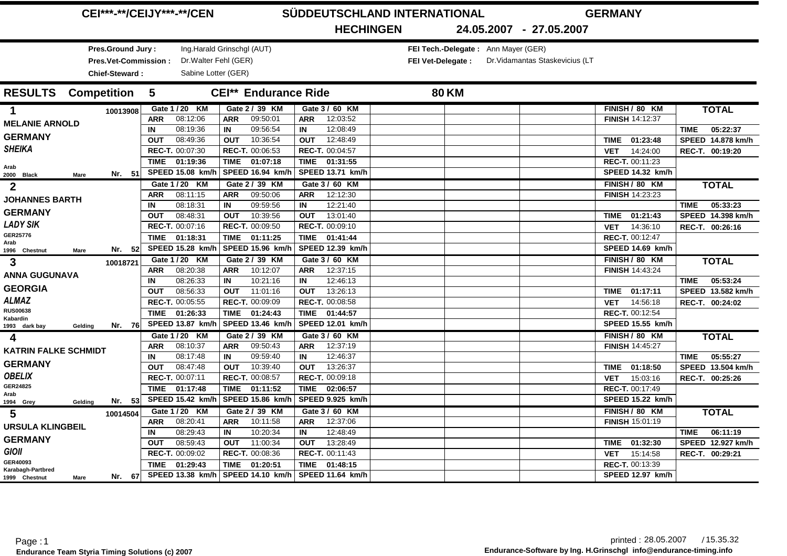|                                     | <b>CEI***-**/CEIJY***-**/CEN</b> |                             |                         | SÜDDEUTSCHLAND INTERNATIONAL        | <b>GERMANY</b>                  |                         |
|-------------------------------------|----------------------------------|-----------------------------|-------------------------|-------------------------------------|---------------------------------|-------------------------|
|                                     |                                  |                             | <b>HECHINGEN</b>        |                                     | 24.05.2007 - 27.05.2007         |                         |
| Pres.Ground Jury:                   |                                  | Ing.Harald Grinschgl (AUT)  |                         | FEI Tech.-Delegate: Ann Mayer (GER) |                                 |                         |
| <b>Pres.Vet-Commission:</b>         |                                  | Dr. Walter Fehl (GER)       |                         | FEI Vet-Delegate :                  | Dr. Vidamantas Staskevicius (LT |                         |
| <b>Chief-Steward:</b>               |                                  | Sabine Lotter (GER)         |                         |                                     |                                 |                         |
| <b>RESULTS</b> Competition          | $-5$                             | <b>CEI** Endurance Ride</b> |                         | <b>80 KM</b>                        |                                 |                         |
| 1<br>10013908                       | Gate 1 / 20 KM                   | Gate 2 / 39 KM              | Gate 3 / 60 KM          |                                     | FINISH / 80 KM                  | <b>TOTAL</b>            |
| <b>MELANIE ARNOLD</b>               | 08:12:06<br><b>ARR</b>           | 09:50:01<br><b>ARR</b>      | 12:03:52<br>ARR         |                                     | <b>FINISH 14:12:37</b>          |                         |
|                                     | 08:19:36<br>IN                   | IN<br>09:56:54              | 12:08:49<br>IN          |                                     |                                 | 05:22:37<br><b>TIME</b> |
| <b>GERMANY</b>                      | 08:49:36<br><b>OUT</b>           | 10:36:54<br><b>OUT</b>      | 12:48:49<br><b>OUT</b>  |                                     | 01:23:48<br>TIME                | SPEED 14.878 km/h       |
| <b>SHEIKA</b>                       | REC-T. 00:07:30                  | REC-T. 00:06:53             | REC-T. 00:04:57         |                                     | 14:24:00<br><b>VET</b>          | REC-T. 00:19:20         |
| Arab                                | <b>TIME</b><br>01:19:36          | <b>TIME</b><br>01:07:18     | <b>TIME</b><br>01:31:55 |                                     | REC-T. 00:11:23                 |                         |
| Nr. 51<br>2000 Black<br><b>Mare</b> | SPEED 15.08 km/h                 | SPEED 16.94 km/h            | SPEED 13.71 km/h        |                                     | SPEED 14.32 km/h                |                         |
| $\mathbf{2}$                        | Gate 1 / 20 KM                   | Gate 2 / 39 KM              | Gate 3 / 60 KM          |                                     | FINISH / 80 KM                  | <b>TOTAL</b>            |
| <b>JOHANNES BARTH</b>               | 08:11:15<br><b>ARR</b>           | 09:50:06<br><b>ARR</b>      | 12:12:30<br><b>ARR</b>  |                                     | <b>FINISH 14:23:23</b>          |                         |
|                                     | 08:18:31<br>IN                   | IN<br>09:59:56              | IN<br>12:21:40          |                                     |                                 | 05:33:23<br><b>TIME</b> |
| <b>GERMANY</b>                      | 08:48:31<br><b>OUT</b>           | 10:39:56<br><b>OUT</b>      | <b>OUT</b><br>13:01:40  |                                     | TIME 01:21:43                   | SPEED 14.398 km/h       |
| <b>LADY SIK</b>                     | REC-T. 00:07:16                  | REC-T. 00:09:50             | REC-T. 00:09:10         |                                     | 14:36:10<br><b>VET</b>          | REC-T. 00:26:16         |
| GER25776<br>Arab                    | <b>TIME</b><br>01:18:31          | TIME<br>01:11:25            | <b>TIME</b><br>01:41:44 |                                     | REC-T. 00:12:47                 |                         |
| Nr. $52$<br>1996 Chestnut<br>Mare   | <b>SPEED 15.28 km/h</b>          | SPEED 15.96 km/h            | SPEED 12.39 km/h        |                                     | SPEED 14.69 km/h                |                         |
| 3<br>10018721                       | Gate 1 / 20 KM                   | Gate 2 / 39 KM              | Gate 3 / 60 KM          |                                     | FINISH / 80 KM                  | <b>TOTAL</b>            |
| <b>ANNA GUGUNAVA</b>                | 08:20:38<br><b>ARR</b>           | 10:12:07<br><b>ARR</b>      | 12:37:15<br><b>ARR</b>  |                                     | <b>FINISH 14:43:24</b>          |                         |
|                                     | 08:26:33<br>IN                   | 10:21:16<br>IN              | IN<br>12:46:13          |                                     |                                 | 05:53:24<br><b>TIME</b> |
| <b>GEORGIA</b>                      | 08:56:33<br><b>OUT</b>           | 11:01:16<br><b>OUT</b>      | 13:26:13<br><b>OUT</b>  |                                     | TIME 01:17:11                   | SPEED 13.582 km/h       |
| <b>ALMAZ</b>                        | REC-T. 00:05:55                  | REC-T. 00:09:09             | REC-T. 00:08:58         |                                     | 14:56:18<br><b>VET</b>          | REC-T. 00:24:02         |
| <b>RUS00638</b><br>Kabardin         | 01:26:33<br><b>TIME</b>          | TIME 01:24:43               | <b>TIME</b><br>01:44:57 |                                     | REC-T. 00:12:54                 |                         |
| Nr. 76<br>1993 dark bay<br>Gelding  | SPEED 13.87 km/h                 | SPEED 13.46 km/l            | SPEED 12.01 km/h        |                                     | SPEED 15.55 km/h                |                         |
| 4                                   | Gate 1 / 20 KM                   | Gate 2 / 39 KM              | Gate 3 / 60 KM          |                                     | FINISH / 80 KM                  | <b>TOTAL</b>            |
| <b>KATRIN FALKE SCHMIDT</b>         | 08:10:37<br><b>ARR</b>           | 09:50:43<br><b>ARR</b>      | 12:37:19<br><b>ARR</b>  |                                     | <b>FINISH 14:45:27</b>          |                         |
|                                     | 08:17:48<br>IN                   | IN<br>09:59:40              | 12:46:37<br>IN          |                                     |                                 | 05:55:27<br><b>TIME</b> |
| <b>GERMANY</b>                      | 08:47:48<br><b>OUT</b>           | 10:39:40<br><b>OUT</b>      | 13:26:37<br><b>OUT</b>  |                                     | 01:18:50<br>TIME                | SPEED 13.504 km/h       |
| <b>OBELIX</b>                       | REC-T. 00:07:11                  | REC-T. 00:08:57             | REC-T. 00:09:18         |                                     | 15:03:16<br><b>VET</b>          | REC-T. 00:25:26         |
| GER24825<br>Arab                    | TIME 01:17:48                    | TIME 01:11:52               | <b>TIME</b><br>02:06:57 |                                     | REC-T. 00:17:49                 |                         |
| Nr. 53<br>1994 Grey<br>Gelding      | SPEED 15.42 km/h                 | SPEED 15.86 km/h            | SPEED 9.925 km/h        |                                     | <b>SPEED 15.22 km/h</b>         |                         |
| 5<br>10014504                       | Gate 1 / 20 KM                   | Gate 2 / 39 KM              | Gate 3 / 60 KM          |                                     | FINISH / 80 KM                  | <b>TOTAL</b>            |
| <b>URSULA KLINGBEIL</b>             | 08:20:41<br><b>ARR</b>           | 10:11:58<br>ARR             | 12:37:06<br>ARR         |                                     | FINISH 15:01:19                 |                         |
|                                     | 08:29:43<br>IN                   | 10:20:34<br>IN              | IN<br>12:48:49          |                                     |                                 | 06:11:19<br><b>TIME</b> |
| <b>GERMANY</b>                      | 08:59:43<br><b>OUT</b>           | 11:00:34<br><b>OUT</b>      | 13:28:49<br><b>OUT</b>  |                                     | 01:32:30<br>TIME                | SPEED 12.927 km/h       |
| <b>GIOII</b>                        | REC-T. 00:09:02                  | REC-T. 00:08:36             | REC-T. 00:11:43         |                                     | 15:14:58<br><b>VET</b>          | REC-T. 00:29:21         |
| GER40093<br>Karabagh-Partbred       | <b>TIME</b><br>01:29:43          | <b>TIME</b><br>01:20:51     | <b>TIME</b><br>01:48:15 |                                     | REC-T. 00:13:39                 |                         |
| Nr. 67<br>1999 Chestnut<br>Mare     | SPEED 13.38 km/h                 | <b>SPEED 14.10 km/h</b>     | SPEED 11.64 km/h        |                                     | SPEED 12.97 km/h                |                         |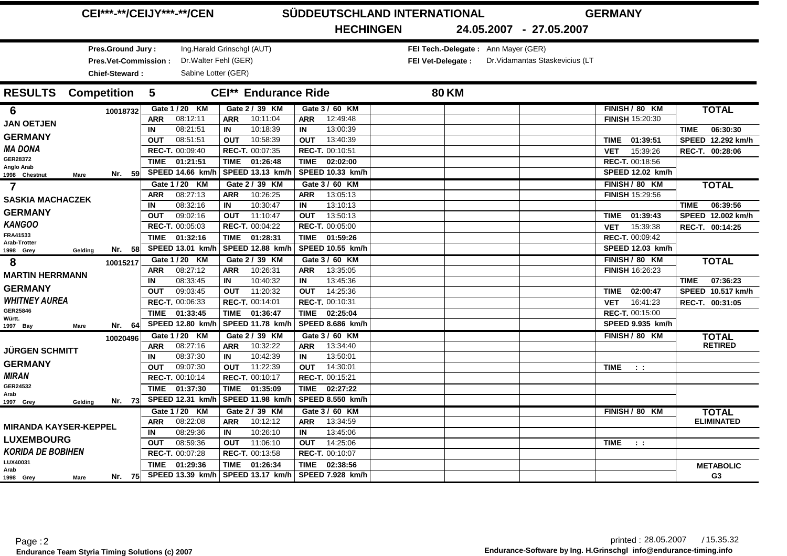|                              |             | <b>CEI***-**/CEIJY***-**/CEN</b> |             |                            |             |                             |             |                  | SÜDDEUTSCHLAND INTERNATIONAL |              | <b>GERMANY</b>                      |                                 |            |                        |                         |
|------------------------------|-------------|----------------------------------|-------------|----------------------------|-------------|-----------------------------|-------------|------------------|------------------------------|--------------|-------------------------------------|---------------------------------|------------|------------------------|-------------------------|
|                              |             |                                  |             |                            |             |                             |             | <b>HECHINGEN</b> |                              |              |                                     | 24.05.2007 - 27.05.2007         |            |                        |                         |
|                              |             | Pres.Ground Jury:                |             | Ing.Harald Grinschgl (AUT) |             |                             |             |                  |                              |              | FEI Tech.-Delegate: Ann Mayer (GER) |                                 |            |                        |                         |
|                              |             | Pres.Vet-Commission:             |             | Dr. Walter Fehl (GER)      |             |                             |             |                  | FEI Vet-Delegate :           |              |                                     | Dr. Vidamantas Staskevicius (LT |            |                        |                         |
|                              |             | <b>Chief-Steward:</b>            |             | Sabine Lotter (GER)        |             |                             |             |                  |                              |              |                                     |                                 |            |                        |                         |
| <b>RESULTS</b> Competition   |             |                                  | $-5$        |                            |             | <b>CEI** Endurance Ride</b> |             |                  |                              | <b>80 KM</b> |                                     |                                 |            |                        |                         |
| 6                            |             | 10018732                         |             | Gate 1 / 20 KM             |             | Gate 2 / 39 KM              |             | Gate 3 / 60 KM   |                              |              |                                     |                                 |            | FINISH / 80 KM         | <b>TOTAL</b>            |
| <b>JAN OETJEN</b>            |             |                                  | <b>ARR</b>  | 08:12:11                   | <b>ARR</b>  | 10:11:04                    | ARR         | 12:49:48         |                              |              |                                     |                                 |            | FINISH 15:20:30        |                         |
|                              |             |                                  | IN          | 08:21:51                   | IN          | 10:18:39                    | IN          | 13:00:39         |                              |              |                                     |                                 |            |                        | 06:30:30<br><b>TIME</b> |
| <b>GERMANY</b>               |             |                                  | <b>OUT</b>  | 08:51:51                   | <b>OUT</b>  | 10:58:39                    | <b>OUT</b>  | 13:40:39         |                              |              |                                     |                                 | TIME       | 01:39:51               | SPEED 12.292 km/h       |
| <b>MA DONA</b>               |             |                                  |             | REC-T. 00:09:40            |             | REC-T. 00:07:35             |             | REC-T. 00:10:51  |                              |              |                                     |                                 | <b>VET</b> | 15:39:26               | REC-T. 00:28:06         |
| GER28372<br>Anglo Arab       |             |                                  | <b>TIME</b> | 01:21:51                   | <b>TIME</b> | 01:26:48                    | <b>TIME</b> | 02:02:00         |                              |              |                                     |                                 |            | REC-T. 00:18:56        |                         |
| 1998 Chestnut                | <b>Mare</b> | Nr. 59                           |             | SPEED 14.66 km/h           |             | SPEED 13.13 km/h            |             | SPEED 10.33 km/h |                              |              |                                     |                                 |            | SPEED 12.02 km/h       |                         |
| $\overline{7}$               |             |                                  |             | Gate 1 / 20 KM             |             | Gate 2 / 39 KM              |             | Gate 3 / 60 KM   |                              |              |                                     |                                 |            | FINISH / 80 KM         | <b>TOTAL</b>            |
| <b>SASKIA MACHACZEK</b>      |             |                                  | <b>ARR</b>  | 08:27:13                   | <b>ARR</b>  | 10:26:25                    | <b>ARR</b>  | 13:05:13         |                              |              |                                     |                                 |            | <b>FINISH 15:29:56</b> |                         |
|                              |             |                                  | IN          | 08:32:16                   | IN          | 10:30:47                    | IN          | 13:10:13         |                              |              |                                     |                                 |            |                        | 06:39:56<br><b>TIME</b> |
| <b>GERMANY</b>               |             |                                  | <b>OUT</b>  | 09:02:16                   | <b>OUT</b>  | 11:10:47                    | <b>OUT</b>  | 13:50:13         |                              |              |                                     |                                 | TIME       | 01:39:43               | SPEED 12.002 km/h       |
| <b>KANGOO</b>                |             |                                  |             | REC-T. 00:05:03            |             | REC-T. 00:04:22             |             | REC-T. 00:05:00  |                              |              |                                     |                                 | <b>VET</b> | 15:39:38               | REC-T. 00:14:25         |
| FRA41533<br>Arab-Trotter     |             |                                  | <b>TIME</b> | 01:32:16                   | TIME        | 01:28:31                    | <b>TIME</b> | 01:59:26         |                              |              |                                     |                                 |            | REC-T. 00:09:42        |                         |
| 1998 Grey                    | Gelding     | Nr. 58                           |             | SPEED 13.01 km/h           |             | SPEED 12.88 km/h            |             | SPEED 10.55 km/h |                              |              |                                     |                                 |            | SPEED 12.03 km/h       |                         |
| 8                            |             | 10015217                         |             | Gate 1 / 20 KM             |             | Gate 2 / 39 KM              |             | Gate 3 / 60 KM   |                              |              |                                     |                                 |            | FINISH / 80 KM         | <b>TOTAL</b>            |
| <b>MARTIN HERRMANN</b>       |             |                                  | <b>ARR</b>  | 08:27:12                   | <b>ARR</b>  | 10:26:31                    | <b>ARR</b>  | 13:35:05         |                              |              |                                     |                                 |            | <b>FINISH 16:26:23</b> |                         |
| <b>GERMANY</b>               |             |                                  | IN          | 08:33:45                   | IN          | 10:40:32                    | IN          | 13:45:36         |                              |              |                                     |                                 |            |                        | 07:36:23<br><b>TIME</b> |
|                              |             |                                  | <b>OUT</b>  | 09:03:45                   | <b>OUT</b>  | 11:20:32                    | <b>OUT</b>  | 14:25:36         |                              |              |                                     |                                 |            | TIME 02:00:47          | SPEED 10.517 km/h       |
| <b>WHITNEY AUREA</b>         |             |                                  |             | REC-T. 00:06:33            |             | REC-T. 00:14:01             |             | REC-T. 00:10:31  |                              |              |                                     |                                 | <b>VET</b> | 16:41:23               | REC-T. 00:31:05         |
| GER25846<br>Württ.           |             |                                  | <b>TIME</b> | 01:33:45                   |             | TIME 01:36:47               | <b>TIME</b> | 02:25:04         |                              |              |                                     |                                 |            | REC-T. 00:15:00        |                         |
| 1997 Bay                     | <b>Mare</b> | Nr. 64                           |             | SPEED 12.80 km/h           |             | SPEED 11.78 km/h            |             | SPEED 8.686 km/h |                              |              |                                     |                                 |            | SPEED 9.935 km/h       |                         |
|                              |             | 10020496                         |             | Gate 1 / 20 KM             |             | Gate 2 / 39 KM              |             | Gate 3 / 60 KM   |                              |              |                                     |                                 |            | FINISH / 80 KM         | <b>TOTAL</b>            |
| <b>JURGEN SCHMITT</b>        |             |                                  | <b>ARR</b>  | 08:27:16                   | <b>ARR</b>  | 10:32:22                    | <b>ARR</b>  | 13:34:40         |                              |              |                                     |                                 |            |                        | <b>RETIRED</b>          |
|                              |             |                                  | IN          | 08:37:30                   | IN          | 10:42:39                    | IN          | 13:50:01         |                              |              |                                     |                                 |            |                        |                         |
| <b>GERMANY</b>               |             |                                  | <b>OUT</b>  | 09:07:30                   | <b>OUT</b>  | 11:22:39                    | <b>OUT</b>  | 14:30:01         |                              |              |                                     |                                 | TIME       | $-1$ , $1$             |                         |
| <b>MIRAN</b>                 |             |                                  |             | REC-T. 00:10:14            |             | REC-T. 00:10:17             |             | REC-T. 00:15:21  |                              |              |                                     |                                 |            |                        |                         |
| GER24532<br>Arab             |             |                                  |             | TIME 01:37:30              |             | TIME 01:35:09               | <b>TIME</b> | 02:27:22         |                              |              |                                     |                                 |            |                        |                         |
| 1997 Grey                    | Gelding     | Nr. 73                           |             | SPEED 12.31 km/h           |             | SPEED 11.98 km/h            |             | SPEED 8.550 km/h |                              |              |                                     |                                 |            |                        |                         |
|                              |             |                                  |             | Gate 1 / 20 KM             |             | Gate 2 / 39 KM              |             | Gate 3 / 60 KM   |                              |              |                                     |                                 |            | FINISH / 80 KM         | <b>TOTAL</b>            |
| <b>MIRANDA KAYSER-KEPPEL</b> |             |                                  | <b>ARR</b>  | 08:22:08                   | ARR         | 10:12:12                    | ARR         | 13:34:59         |                              |              |                                     |                                 |            |                        | <b>ELIMINATED</b>       |
|                              |             |                                  | IN          | 08:29:36                   | IN          | 10:26:10                    | IN          | 13:45:06         |                              |              |                                     |                                 |            |                        |                         |
| <b>LUXEMBOURG</b>            |             |                                  | <b>OUT</b>  | 08:59:36                   | <b>OUT</b>  | 11:06:10                    | <b>OUT</b>  | 14:25:06         |                              |              |                                     |                                 | TIME       | $-1.1$                 |                         |
| <b>KORIDA DE BOBIHEN</b>     |             |                                  |             | REC-T. 00:07:28            |             | REC-T. 00:13:58             |             | REC-T. 00:10:07  |                              |              |                                     |                                 |            |                        |                         |
| LUX40031<br>Arab             |             |                                  | <b>TIME</b> | 01:29:36                   | <b>TIME</b> | 01:26:34                    | <b>TIME</b> | 02:38:56         |                              |              |                                     |                                 |            |                        | <b>METABOLIC</b>        |
| 1998 Grey                    | Mare        | Nr. 75                           |             | SPEED 13.39 km/h           |             | SPEED 13.17 km/h            |             | SPEED 7.928 km/h |                              |              |                                     |                                 |            |                        | G <sub>3</sub>          |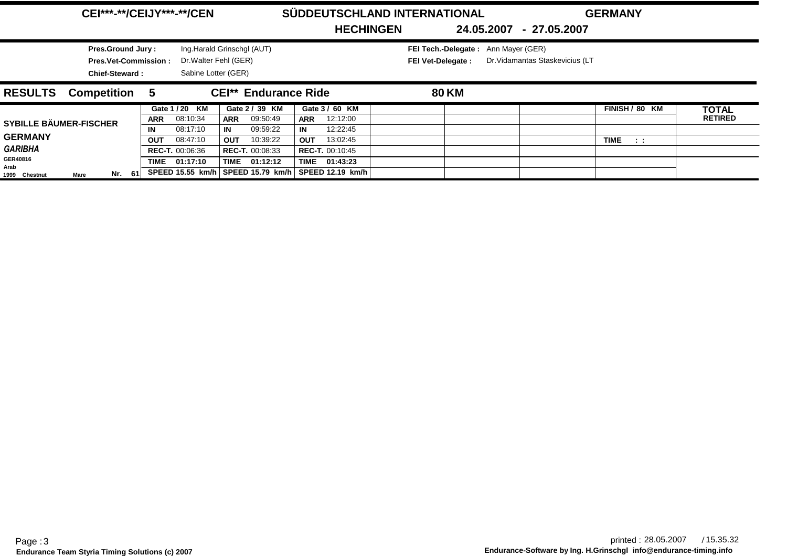|                               | <b>CEI***-**/CEIJY***-**/CEN</b> |            |                        |                            |                             |                        | SÜDDEUTSCHLAND INTERNATIONAL |                    | <b>GERMANY</b><br>24.05.2007 - 27.05.2007 |                                 |                         |  |                |
|-------------------------------|----------------------------------|------------|------------------------|----------------------------|-----------------------------|------------------------|------------------------------|--------------------|-------------------------------------------|---------------------------------|-------------------------|--|----------------|
|                               |                                  |            |                        |                            |                             | <b>HECHINGEN</b>       |                              |                    |                                           |                                 |                         |  |                |
|                               | <b>Pres.Ground Jury:</b>         |            |                        | Ing.Harald Grinschgl (AUT) |                             |                        |                              |                    | FEI Tech.-Delegate: Ann Mayer (GER)       |                                 |                         |  |                |
|                               | <b>Pres.Vet-Commission:</b>      |            | Dr. Walter Fehl (GER)  |                            |                             |                        |                              | FEI Vet-Delegate : |                                           | Dr. Vidamantas Staskevicius (LT |                         |  |                |
|                               | <b>Chief-Steward:</b>            |            | Sabine Lotter (GER)    |                            |                             |                        |                              |                    |                                           |                                 |                         |  |                |
| <b>RESULTS</b>                | <b>Competition</b>               | 5          |                        |                            | <b>CEI**</b> Endurance Ride |                        |                              | <b>80 KM</b>       |                                           |                                 |                         |  |                |
|                               |                                  |            | Gate 1 / 20 KM         | Gate 2 / 39 KM             |                             | Gate 3 / 60 KM         |                              |                    |                                           |                                 | FINISH / 80 KM          |  | <b>TOTAL</b>   |
| <b>SYBILLE BÄUMER-FISCHER</b> |                                  | <b>ARR</b> | 08:10:34               | 09:50:49<br><b>ARR</b>     | <b>ARR</b>                  | 12:12:00               |                              |                    |                                           |                                 |                         |  | <b>RETIRED</b> |
|                               |                                  | IN         | 08:17:10               | IN<br>09:59:22             | IN                          | 12:22:45               |                              |                    |                                           |                                 |                         |  |                |
| <b>GERMANY</b>                |                                  | <b>OUT</b> | 08:47:10               | 10:39:22<br><b>OUT</b>     | <b>OUT</b>                  | 13:02:45               |                              |                    |                                           |                                 | <b>TIME</b><br>$-1 - 1$ |  |                |
| <b>GARIBHA</b>                |                                  |            | <b>REC-T. 00:06:36</b> | <b>REC-T. 00:08:33</b>     |                             | <b>REC-T. 00:10:45</b> |                              |                    |                                           |                                 |                         |  |                |
| GER40816<br>Arab              |                                  |            | TIME 01:17:10          | TIME 01:12:12              |                             | TIME 01:43:23          |                              |                    |                                           |                                 |                         |  |                |
| Mare<br>1999 Chestnut         | Nr. 61                           |            | SPEED 15.55 km/h       | SPEED 15.79 km/h           |                             | SPEED 12.19 km/h       |                              |                    |                                           |                                 |                         |  |                |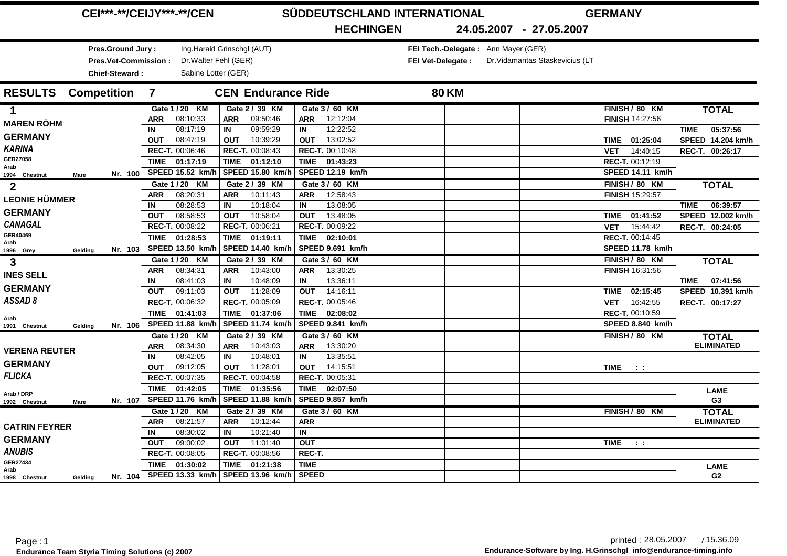|                            | <b>CEI***-**/CEIJY***-**/CEN</b> |                             |                |                            |            |                           |              |                  | SÜDDEUTSCHLAND INTERNATIONAL |              | <b>GERMANY</b>                      |                                 |                        |                         |                         |
|----------------------------|----------------------------------|-----------------------------|----------------|----------------------------|------------|---------------------------|--------------|------------------|------------------------------|--------------|-------------------------------------|---------------------------------|------------------------|-------------------------|-------------------------|
|                            |                                  |                             |                |                            |            |                           |              | <b>HECHINGEN</b> |                              |              |                                     | 24.05.2007 - 27.05.2007         |                        |                         |                         |
|                            |                                  | Pres.Ground Jury:           |                | Ing.Harald Grinschgl (AUT) |            |                           |              |                  |                              |              | FEI Tech.-Delegate: Ann Mayer (GER) |                                 |                        |                         |                         |
|                            |                                  | <b>Pres.Vet-Commission:</b> |                | Dr. Walter Fehl (GER)      |            |                           |              |                  | <b>FEI Vet-Delegate:</b>     |              |                                     | Dr. Vidamantas Staskevicius (LT |                        |                         |                         |
|                            |                                  | <b>Chief-Steward:</b>       |                | Sabine Lotter (GER)        |            |                           |              |                  |                              |              |                                     |                                 |                        |                         |                         |
| <b>RESULTS</b> Competition |                                  |                             | $\overline{7}$ |                            |            | <b>CEN Endurance Ride</b> |              |                  |                              | <b>80 KM</b> |                                     |                                 |                        |                         |                         |
| $\mathbf 1$                |                                  |                             |                | Gate 1 / 20 KM             |            | Gate 2 / 39 KM            |              | Gate 3 / 60 KM   |                              |              |                                     |                                 |                        | FINISH / 80 KM          | <b>TOTAL</b>            |
| <b>MAREN RÖHM</b>          |                                  |                             | <b>ARR</b>     | 08:10:33                   | <b>ARR</b> | 09:50:46                  | ARR          | 12:12:04         |                              |              |                                     |                                 | <b>FINISH 14:27:56</b> |                         |                         |
|                            |                                  |                             | IN             | 08:17:19                   | IN         | 09:59:29                  | IN           | 12:22:52         |                              |              |                                     |                                 |                        |                         | 05:37:56<br><b>TIME</b> |
| <b>GERMANY</b>             |                                  |                             | <b>OUT</b>     | 08:47:19                   | <b>OUT</b> | 10:39:29                  | <b>OUT</b>   | 13:02:52         |                              |              |                                     |                                 | TIME                   | 01:25:04                | SPEED 14.204 km/h       |
| <b>KARINA</b>              |                                  |                             |                | REC-T. 00:06:46            |            | REC-T. 00:08:43           |              | REC-T. 00:10:48  |                              |              |                                     |                                 | <b>VET</b>             | 14:40:15                | REC-T. 00:26:17         |
| GER27058<br>Arab           |                                  |                             |                | TIME 01:17:19              |            | TIME 01:12:10             | <b>TIME</b>  | 01:43:23         |                              |              |                                     |                                 | REC-T. 00:12:19        |                         |                         |
| 1994 Chestnut              | <b>Mare</b>                      | Nr. 100                     |                | SPEED 15.52 km/h           |            | SPEED 15.80 km/h          |              | SPEED 12.19 km/h |                              |              |                                     |                                 |                        | <b>SPEED 14.11 km/h</b> |                         |
| $\mathbf{2}$               |                                  |                             |                | Gate 1 / 20 KM             |            | Gate 2 / 39 KM            |              | Gate 3 / 60 KM   |                              |              |                                     |                                 |                        | FINISH / 80 KM          | <b>TOTAL</b>            |
| <b>LEONIE HÜMMER</b>       |                                  |                             | <b>ARR</b>     | 08:20:31                   | <b>ARR</b> | 10:11:43                  | <b>ARR</b>   | 12:58:43         |                              |              |                                     |                                 | <b>FINISH 15:29:57</b> |                         |                         |
|                            |                                  |                             | IN             | 08:28:53                   | IN         | 10:18:04                  | IN           | 13:08:05         |                              |              |                                     |                                 |                        |                         | 06:39:57<br><b>TIME</b> |
| <b>GERMANY</b>             |                                  |                             | <b>OUT</b>     | 08:58:53                   | OUT        | 10:58:04                  | <b>OUT</b>   | 13:48:05         |                              |              |                                     |                                 | TIME 01:41:52          |                         | SPEED 12.002 km/h       |
| <b>CANAGAL</b>             |                                  |                             |                | REC-T. 00:08:22            |            | REC-T. 00:06:21           |              | REC-T. 00:09:22  |                              |              |                                     |                                 | <b>VET</b>             | 15:44:42                | REC-T. 00:24:05         |
| GER40469<br>Arab           |                                  |                             |                | TIME 01:28:53              |            | TIME 01:19:11             | <b>TIME</b>  | 02:10:01         |                              |              |                                     |                                 | REC-T. 00:14:45        |                         |                         |
| 1996 Grey                  | Gelding                          | Nr. 103                     |                | SPEED 13.50 km/h           |            | <b>SPEED 14.40 km/h</b>   |              | SPEED 9.691 km/h |                              |              |                                     |                                 |                        | SPEED 11.78 km/h        |                         |
| 3                          |                                  |                             |                | Gate 1 / 20 KM             |            | Gate 2 / 39 KM            |              | Gate 3 / 60 KM   |                              |              |                                     |                                 |                        | FINISH / 80 KM          | <b>TOTAL</b>            |
| <b>INES SELL</b>           |                                  |                             | <b>ARR</b>     | 08:34:31                   | <b>ARR</b> | 10:43:00                  | ARR          | 13:30:25         |                              |              |                                     |                                 | <b>FINISH 16:31:56</b> |                         |                         |
| <b>GERMANY</b>             |                                  |                             | IN             | 08:41:03                   | IN         | 10:48:09                  | IN           | 13:36:11         |                              |              |                                     |                                 |                        |                         | 07:41:56<br><b>TIME</b> |
|                            |                                  |                             | <b>OUT</b>     | 09:11:03                   | <b>OUT</b> | 11:28:09                  | <b>OUT</b>   | 14:16:11         |                              |              |                                     |                                 | TIME 02:15:45          |                         | SPEED 10.391 km/h       |
| ASSAD8                     |                                  |                             |                | REC-T. 00:06:32            |            | REC-T. 00:05:09           |              | REC-T. 00:05:46  |                              |              |                                     |                                 | <b>VET</b>             | 16:42:55                | REC-T. 00:17:27         |
| Arab                       |                                  |                             |                | TIME 01:41:03              |            | TIME 01:37:06             | <b>TIME</b>  | 02:08:02         |                              |              |                                     |                                 | REC-T. 00:10:59        |                         |                         |
| 1991 Chestnut              | Geldina                          | Nr. 106                     |                | SPEED 11.88 km/h           |            | SPEED 11.74 km/h          |              | SPEED 9.841 km/h |                              |              |                                     |                                 |                        | SPEED 8.840 km/h        |                         |
|                            |                                  |                             |                | Gate 1 / 20 KM             |            | Gate 2 / 39 KM            |              | Gate 3 / 60 KM   |                              |              |                                     |                                 | FINISH / 80 KM         |                         | <b>TOTAL</b>            |
| <b>VERENA REUTER</b>       |                                  |                             | <b>ARR</b>     | 08:34:30                   | <b>ARR</b> | 10:43:03                  | <b>ARR</b>   | 13:30:20         |                              |              |                                     |                                 |                        |                         | <b>ELIMINATED</b>       |
| <b>GERMANY</b>             |                                  |                             | IN             | 08:42:05                   | IN         | 10:48:01                  | IN           | 13:35:51         |                              |              |                                     |                                 |                        |                         |                         |
|                            |                                  |                             | <b>OUT</b>     | 09:12:05                   | <b>OUT</b> | 11:28:01                  | <b>OUT</b>   | 14:15:51         |                              |              |                                     |                                 | TIME                   | $\sim$ 1.               |                         |
| <b>FLICKA</b>              |                                  |                             |                | REC-T. 00:07:35            |            | REC-T. 00:04:58           |              | REC-T. 00:05:31  |                              |              |                                     |                                 |                        |                         |                         |
| Arab / DRP                 |                                  |                             |                | TIME 01:42:05              |            | TIME 01:35:56             | <b>TIME</b>  | 02:07:50         |                              |              |                                     |                                 |                        |                         | <b>LAME</b>             |
| 1992 Chestnut              | Mare                             | Nr. 107                     |                | SPEED 11.76 km/h           |            | SPEED 11.88 km/h          |              | SPEED 9.857 km/h |                              |              |                                     |                                 |                        |                         | G <sub>3</sub>          |
|                            |                                  |                             |                | Gate 1 / 20 KM             |            | Gate 2 / 39 KM            |              | Gate 3 / 60 KM   |                              |              |                                     |                                 |                        | FINISH / 80 KM          | <b>TOTAL</b>            |
| <b>CATRIN FEYRER</b>       |                                  |                             | <b>ARR</b>     | 08:21:57                   | ARR        | 10:12:44                  | <b>ARR</b>   |                  |                              |              |                                     |                                 |                        |                         | <b>ELIMINATED</b>       |
| <b>GERMANY</b>             |                                  |                             | IN             | 08:30:02                   | IN         | 10:21:40                  | IN           |                  |                              |              |                                     |                                 |                        |                         |                         |
|                            |                                  |                             | <b>OUT</b>     | 09:00:02                   | <b>OUT</b> | 11:01:40                  | <b>OUT</b>   |                  |                              |              |                                     |                                 | TIME                   | $\sim 100$              |                         |
| <b>ANUBIS</b>              |                                  |                             |                | REC-T. 00:08:05            |            | <b>REC-T. 00:08:56</b>    | REC-T.       |                  |                              |              |                                     |                                 |                        |                         |                         |
| GER27434<br>Arab           |                                  |                             | <b>TIME</b>    | 01:30:02                   |            | TIME 01:21:38             | <b>TIME</b>  |                  |                              |              |                                     |                                 |                        |                         | <b>LAME</b>             |
| 1998 Chestnut              | Gelding                          | Nr. 104                     |                | SPEED 13.33 km/h           |            | SPEED 13.96 km/h          | <b>SPEED</b> |                  |                              |              |                                     |                                 |                        |                         | G <sub>2</sub>          |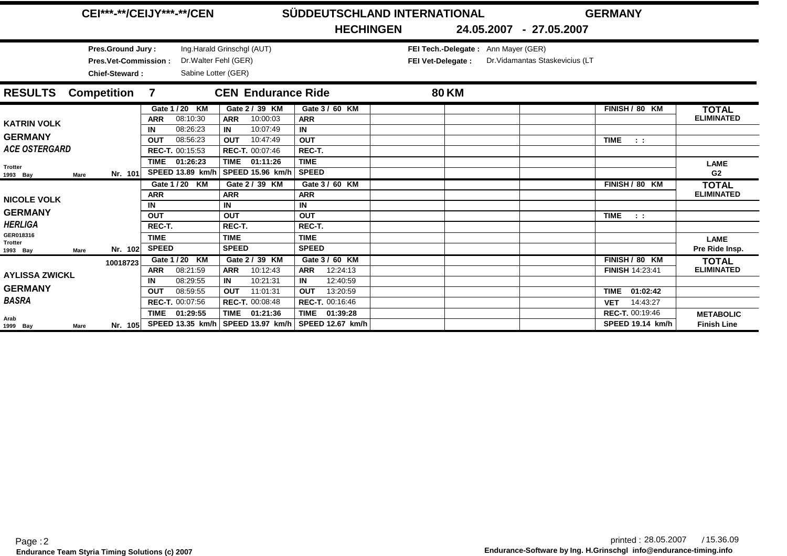|                                        | <b>CEI***-**/CEIJY***-**/CEN</b> |                                            |                                                                                                                                                                     |                                                                            |                             |                                                | SÜDDEUTSCHLAND INTERNATIONAL |                                         |  |                                                           |              |                                 | <b>GERMANY</b> |                                                   |                                        |
|----------------------------------------|----------------------------------|--------------------------------------------|---------------------------------------------------------------------------------------------------------------------------------------------------------------------|----------------------------------------------------------------------------|-----------------------------|------------------------------------------------|------------------------------|-----------------------------------------|--|-----------------------------------------------------------|--------------|---------------------------------|----------------|---------------------------------------------------|----------------------------------------|
|                                        |                                  |                                            |                                                                                                                                                                     |                                                                            |                             |                                                |                              | <b>HECHINGEN</b>                        |  |                                                           |              | 24.05.2007 - 27.05.2007         |                |                                                   |                                        |
|                                        |                                  | Pres.Ground Jury:<br><b>Chief-Steward:</b> | <b>Pres.Vet-Commission:</b>                                                                                                                                         | Ing.Harald Grinschgl (AUT)<br>Dr. Walter Fehl (GER)<br>Sabine Lotter (GER) |                             |                                                |                              |                                         |  | FEI Tech.-Delegate: Ann Mayer (GER)<br>FEI Vet-Delegate : |              | Dr. Vidamantas Staskevicius (LT |                |                                                   |                                        |
| <b>RESULTS</b>                         | <b>Competition</b>               |                                            | 7                                                                                                                                                                   |                                                                            |                             | <b>CEN Endurance Ride</b>                      |                              |                                         |  |                                                           | <b>80 KM</b> |                                 |                |                                                   |                                        |
| <b>KATRIN VOLK</b>                     |                                  |                                            | <b>ARR</b>                                                                                                                                                          | Gate 1 / 20 KM<br>08:10:30                                                 | <b>ARR</b>                  | Gate 2 / 39 KM<br>10:00:03                     | <b>ARR</b><br>IN             | Gate 3 / 60 KM                          |  |                                                           |              |                                 |                | FINISH / 80 KM                                    | <b>TOTAL</b><br><b>ELIMINATED</b>      |
| <b>GERMANY</b><br><b>ACE OSTERGARD</b> |                                  |                                            | 10:07:49<br>08:26:23<br>IN<br>IN<br>10:47:49<br>08:56:23<br><b>OUT</b><br><b>OUT</b><br>REC-T. 00:15:53<br><b>REC-T. 00:07:46</b><br>TIME 01:26:23<br>TIME 01:11:26 |                                                                            |                             |                                                | <b>OUT</b><br>REC-T.         |                                         |  |                                                           |              |                                 |                | <b>TIME</b><br>$\sim 100$                         |                                        |
| <b>Trotter</b><br>1993 Bay             | Mare                             | Nr. 101                                    |                                                                                                                                                                     | SPEED 13.89 km/h                                                           |                             | SPEED 15.96 km/h                               | <b>TIME</b><br>SPEED         |                                         |  |                                                           |              |                                 |                |                                                   | <b>LAME</b><br>G <sub>2</sub>          |
| <b>NICOLE VOLK</b>                     |                                  |                                            | <b>ARR</b><br>IN                                                                                                                                                    | Gate 1 / 20 KM                                                             | <b>ARR</b><br>IN            | Gate 2 / 39 KM                                 | <b>ARR</b><br>IN             | Gate 3 / 60 KM                          |  |                                                           |              |                                 |                | FINISH / 80 KM                                    | <b>TOTAL</b><br><b>ELIMINATED</b>      |
| <b>GERMANY</b><br><b>HERLIGA</b>       |                                  |                                            | <b>OUT</b><br>REC-T.                                                                                                                                                |                                                                            | <b>OUT</b><br>REC-T.        |                                                | <b>OUT</b><br>REC-T.         |                                         |  |                                                           |              |                                 |                | <b>TIME</b><br>$\sim 100$                         |                                        |
| GER018316<br>Trotter<br>1993 Bay       | <b>Mare</b>                      | Nr. 102                                    | <b>TIME</b><br><b>SPEED</b>                                                                                                                                         |                                                                            | <b>TIME</b><br><b>SPEED</b> |                                                | <b>TIME</b><br><b>SPEED</b>  |                                         |  |                                                           |              |                                 |                |                                                   | <b>LAME</b><br>Pre Ride Insp.          |
| <b>AYLISSA ZWICKL</b>                  |                                  | 10018723                                   | <b>ARR</b>                                                                                                                                                          | Gate 1 / 20 KM<br>08:21:59                                                 | <b>ARR</b>                  | Gate 2 / 39 KM<br>10:12:43                     | <b>ARR</b>                   | Gate 3 / 60 KM<br>12:24:13              |  |                                                           |              |                                 |                | FINISH / 80 KM<br><b>FINISH 14:23:41</b>          | <b>TOTAL</b><br><b>ELIMINATED</b>      |
| <b>GERMANY</b><br><b>BASRA</b>         |                                  |                                            | IN<br><b>OUT</b>                                                                                                                                                    | 08:29:55<br>08:59:55<br>REC-T. 00:07:56                                    | IN<br><b>OUT</b>            | 10:21:31<br>11:01:31<br><b>REC-T. 00:08:48</b> | IN<br><b>OUT</b>             | 12:40:59<br>13:20:59<br>REC-T. 00:16:46 |  |                                                           |              |                                 |                | 01:02:42<br><b>TIME</b><br>14:43:27<br><b>VET</b> |                                        |
| Arab<br>1999 Bay                       | Mare                             | Nr. 105                                    | <b>TIME</b>                                                                                                                                                         | 01:29:55<br>SPEED 13.35 km/h                                               | <b>TIME</b>                 | 01:21:36<br>SPEED 13.97 km/h                   | <b>TIME</b>                  | 01:39:28<br><b>SPEED 12.67 km/h</b>     |  |                                                           |              |                                 |                | REC-T. 00:19:46<br><b>SPEED 19.14 km/h</b>        | <b>METABOLIC</b><br><b>Finish Line</b> |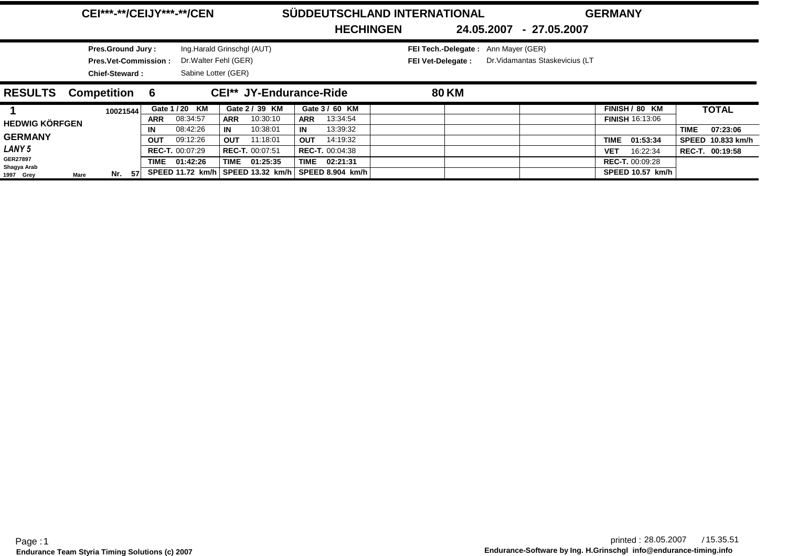|                                         | <b>CEI***-**/CEIJY***-**/CEN</b>                                          |                  |                                              |                                          | <b>HECHINGEN</b>                         | SÜDDEUTSCHLAND INTERNATIONAL                              | 24.05.2007<br>- 27.05.2007      | <b>GERMANY</b>                            |                                       |
|-----------------------------------------|---------------------------------------------------------------------------|------------------|----------------------------------------------|------------------------------------------|------------------------------------------|-----------------------------------------------------------|---------------------------------|-------------------------------------------|---------------------------------------|
|                                         | Pres.Ground Jury:<br><b>Pres.Vet-Commission:</b><br><b>Chief-Steward:</b> |                  | Dr. Walter Fehl (GER)<br>Sabine Lotter (GER) | Ing.Harald Grinschgl (AUT)               |                                          | FEI Tech.-Delegate: Ann Mayer (GER)<br>FEI Vet-Delegate : | Dr. Vidamantas Staskevicius (LT |                                           |                                       |
| <b>RESULTS</b>                          | <b>Competition</b>                                                        | 6                |                                              | <b>CEI** JY-Endurance-Ride</b>           |                                          | <b>80 KM</b>                                              |                                 |                                           |                                       |
|                                         | 10021544                                                                  | <b>ARR</b>       | Gate 1 / 20 KM<br>08:34:57                   | Gate 2 / 39 KM<br>10:30:10<br><b>ARR</b> | Gate 3 / 60 KM<br>13:34:54<br><b>ARR</b> |                                                           |                                 | FINISH / 80 KM<br><b>FINISH 16:13:06</b>  | <b>TOTAL</b>                          |
| <b>HEDWIG KÖRFGEN</b><br><b>GERMANY</b> |                                                                           | IN<br><b>OUT</b> | 08:42:26<br>09:12:26                         | 10:38:01<br>IN<br>11:18:01<br>OUT        | 13:39:32<br>IN<br>14:19:32<br><b>OUT</b> |                                                           |                                 | TIME<br>01:53:34                          | 07:23:06<br>TIME<br>SPEED 10.833 km/h |
| LANY 5<br><b>GER27897</b>               |                                                                           | TIME             | <b>REC-T. 00:07:29</b><br>01:42:26           | <b>REC-T. 00:07:51</b><br>TIME 01:25:35  | REC-T. 00:04:38<br>TIME<br>02:21:31      |                                                           |                                 | 16:22:34<br>VET<br><b>REC-T. 00:09:28</b> | REC-T. 00:19:58                       |
| Shagya Arab<br>1997 Grey                | -57<br>Nr.<br>Mare                                                        |                  | SPEED 11.72 km/h                             | <b>SPEED 13.32 km/h</b>                  | SPEED 8.904 km/h                         |                                                           |                                 | SPEED 10.57 km/h                          |                                       |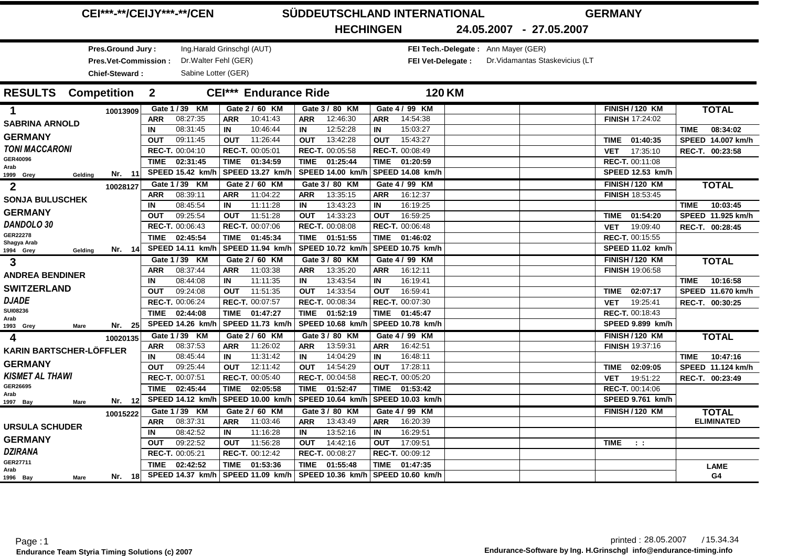|                                        | <b>CEI***-**/CEIJY***-**/CEN</b> |                              | SÜDDEUTSCHLAND INTERNATIONAL<br><b>GERMANY</b> |                                     |                                     |                                 |                         |  |  |  |
|----------------------------------------|----------------------------------|------------------------------|------------------------------------------------|-------------------------------------|-------------------------------------|---------------------------------|-------------------------|--|--|--|
|                                        |                                  |                              | <b>HECHINGEN</b>                               |                                     | 24.05.2007 - 27.05.2007             |                                 |                         |  |  |  |
| Pres.Ground Jury:                      |                                  | Ing.Harald Grinschgl (AUT)   |                                                |                                     | FEI Tech.-Delegate: Ann Mayer (GER) |                                 |                         |  |  |  |
| Pres.Vet-Commission:                   | Dr. Walter Fehl (GER)            |                              |                                                | <b>FEI Vet-Delegate:</b>            |                                     | Dr. Vidamantas Staskevicius (LT |                         |  |  |  |
| Chief-Steward:                         | Sabine Lotter (GER)              |                              |                                                |                                     |                                     |                                 |                         |  |  |  |
| <b>RESULTS</b> Competition             | $\overline{\mathbf{2}}$          | <b>CEI*** Endurance Ride</b> |                                                |                                     | <b>120 KM</b>                       |                                 |                         |  |  |  |
|                                        | Gate 1 / 39 KM                   | Gate 2 / 60 KM               | Gate 3 / 80 KM                                 | Gate 4 / 99 KM                      |                                     | <b>FINISH / 120 KM</b>          | <b>TOTAL</b>            |  |  |  |
| 1<br>10013909                          | 08:27:35<br><b>ARR</b>           | <b>ARR</b><br>10:41:43       | 12:46:30<br><b>ARR</b>                         | 14:54:38<br><b>ARR</b>              |                                     | <b>FINISH 17:24:02</b>          |                         |  |  |  |
| <b>SABRINA ARNOLD</b>                  | 08:31:45<br>IN                   | 10:46:44<br>IN               | 12:52:28<br>IN                                 | 15:03:27<br>IN                      |                                     |                                 | 08:34:02<br><b>TIME</b> |  |  |  |
| <b>GERMANY</b>                         | 09:11:45<br><b>OUT</b>           | 11:26:44<br><b>OUT</b>       | 13:42:28<br><b>OUT</b>                         | 15:43:27<br><b>OUT</b>              |                                     | 01:40:35<br>TIME                | SPEED 14.007 km/h       |  |  |  |
| <b>TONI MACCARONI</b>                  | REC-T. 00:04:10                  | REC-T. 00:05:01              | REC-T. 00:05:58                                | REC-T. 00:08:49                     |                                     | 17:35:10<br><b>VET</b>          | REC-T. 00:23:58         |  |  |  |
| GER40096                               | <b>TIME</b><br>02:31:45          | <b>TIME</b><br>01:34:59      | 01:25:44<br><b>TIME</b>                        | <b>TIME</b><br>01:20:59             |                                     | REC-T. 00:11:08                 |                         |  |  |  |
| Arab<br>Nr. 11<br>1999 Grey<br>Geldina | SPEED 15.42 km/h                 | SPEED 13.27 km/h             | <b>SPEED 14.00 km/h</b>                        | <b>SPEED 14.08 km/h</b>             |                                     | SPEED 12.53 km/h                |                         |  |  |  |
| $\mathbf{2}$                           | Gate 1 / 39 KM                   | Gate 2 / 60 KM               | Gate 3 / 80 KM                                 | Gate 4 / 99 KM                      |                                     | <b>FINISH / 120 KM</b>          | <b>TOTAL</b>            |  |  |  |
| 10028127                               | 08:39:11<br><b>ARR</b>           | 11:04:22<br><b>ARR</b>       | 13:35:15<br><b>ARR</b>                         | 16:12:37<br><b>ARR</b>              |                                     | <b>FINISH 18:53:45</b>          |                         |  |  |  |
| <b>SONJA BULUSCHEK</b>                 | 08:45:54<br>IN                   | 11:11:28<br>IN               | 13:43:23<br>IN                                 | 16:19:25<br>IN                      |                                     |                                 | 10:03:45<br><b>TIME</b> |  |  |  |
| <b>GERMANY</b>                         | 09:25:54<br><b>OUT</b>           | 11:51:28<br><b>OUT</b>       | 14:33:23<br><b>OUT</b>                         | 16:59:25<br><b>OUT</b>              |                                     | TIME 01:54:20                   | SPEED 11.925 km/h       |  |  |  |
| DANDOLO 30                             | REC-T. 00:06:43                  | REC-T. 00:07:06              | REC-T. 00:08:08                                | REC-T. 00:06:48                     |                                     | 19:09:40<br><b>VET</b>          | REC-T. 00:28:45         |  |  |  |
| GER22278                               | <b>TIME</b><br>02:45:54          | TIME<br>01:45:34             | 01:51:55<br><b>TIME</b>                        | <b>TIME</b><br>01:46:02             |                                     | REC-T. 00:15:55                 |                         |  |  |  |
| Shagya Arab<br>Nr. 14                  | SPEED 14.11 km/h                 | SPEED 11.94 km/h             | <b>SPEED 10.72 km/h</b>                        | SPEED 10.75 km/h                    |                                     | SPEED 11.02 km/h                |                         |  |  |  |
| Gelding<br>1994 Grey                   | Gate 1 / 39 KM                   | Gate 2 / 60 KM               | Gate 3 / 80 KM                                 | Gate 4 / 99 KM                      |                                     | <b>FINISH / 120 KM</b>          | <b>TOTAL</b>            |  |  |  |
| 3                                      | 08:37:44<br><b>ARR</b>           | 11:03:38<br><b>ARR</b>       | 13:35:20<br><b>ARR</b>                         | 16:12:11<br><b>ARR</b>              |                                     | <b>FINISH 19:06:58</b>          |                         |  |  |  |
| <b>ANDREA BENDINER</b>                 | 08:44:08<br>IN                   | 11:11:35<br>IN               | 13:43:54<br>IN                                 | 16:19:41<br>IN                      |                                     |                                 | 10:16:58<br><b>TIME</b> |  |  |  |
| <b>SWITZERLAND</b>                     | 09:24:08<br><b>OUT</b>           | 11:51:35<br><b>OUT</b>       | 14:33:54<br><b>OUT</b>                         | 16:59:41<br><b>OUT</b>              |                                     | 02:07:17<br>TIME                | SPEED 11.670 km/h       |  |  |  |
| <b>DJADE</b>                           | REC-T. 00:06:24                  | REC-T. 00:07:57              | REC-T. 00:08:34                                | REC-T. 00:07:30                     |                                     | 19:25:41<br><b>VET</b>          | REC-T. 00:30:25         |  |  |  |
| <b>SUI08236</b>                        | 02:44:08<br><b>TIME</b>          | TIME 01:47:27                | 01:52:19<br><b>TIME</b>                        | TIME 01:45:47                       |                                     | REC-T. 00:18:43                 |                         |  |  |  |
| Arab<br>Nr. $25$                       | SPEED 14.26 km/h                 | SPEED 11.73 km/h             | <b>SPEED 10.68 km/h</b>                        | SPEED 10.78 km/h                    |                                     | SPEED 9.899 km/h                |                         |  |  |  |
| 1993 Grey<br><b>Mare</b>               | Gate 1 / 39 KM                   | Gate 2 / 60 KM               | Gate 3 / 80 KM                                 | Gate 4 / 99 KM                      |                                     | <b>FINISH / 120 KM</b>          |                         |  |  |  |
| 4<br>10020135                          | 08:37:53<br><b>ARR</b>           | 11:26:02<br><b>ARR</b>       | 13:59:31<br><b>ARR</b>                         | 16:42:51<br><b>ARR</b>              |                                     | <b>FINISH 19:37:16</b>          | <b>TOTAL</b>            |  |  |  |
| <b>KARIN BARTSCHER-LÖFFLER</b>         | 08:45:44<br>IN                   | 11:31:42<br>IN               | IN<br>14:04:29                                 | 16:48:11<br>IN                      |                                     |                                 | 10:47:16<br><b>TIME</b> |  |  |  |
| <b>GERMANY</b>                         | 09:25:44<br><b>OUT</b>           | 12:11:42<br><b>OUT</b>       | 14:54:29<br><b>OUT</b>                         | 17:28:11<br><b>OUT</b>              |                                     | 02:09:05<br>TIME                | SPEED 11.124 km/h       |  |  |  |
| <b>KISMET AL THAWI</b>                 | REC-T. 00:07:51                  | REC-T. 00:05:40              | REC-T. 00:04:58                                | REC-T. 00:05:20                     |                                     | 19:51:22<br><b>VET</b>          | REC-T. 00:23:49         |  |  |  |
| GER26695                               | TIME 02:45:44                    | TIME 02:05:58                | <b>TIME</b><br>01:52:47                        | <b>TIME</b><br>01:53:42             |                                     | REC-T. 00:14:06                 |                         |  |  |  |
| Arab<br>Nr. 12                         | <b>SPEED 14.12 km/h</b>          | SPEED 10.00 km/h             | <b>SPEED 10.64 km/h</b>                        | SPEED 10.03 km/h                    |                                     | SPEED 9.761 km/h                |                         |  |  |  |
| 1997 Bay<br>Mare                       | Gate 1 / 39 KM                   | Gate 2 / 60 KM               | Gate 3 / 80 KM                                 | Gate 4 / 99 KM                      |                                     | <b>FINISH / 120 KM</b>          | <b>TOTAL</b>            |  |  |  |
| 10015222                               | 08:37:31<br><b>ARR</b>           | 11:03:46<br><b>ARR</b>       | 13:43:49<br><b>ARR</b>                         | 16:20:39<br><b>ARR</b>              |                                     |                                 | <b>ELIMINATED</b>       |  |  |  |
| <b>URSULA SCHUDER</b>                  | 08:42:52<br>IN                   | 11:16:28<br>IN               | 13:52:16<br>IN                                 | 16:29:51<br>IN                      |                                     |                                 |                         |  |  |  |
| <b>GERMANY</b>                         | 09:22:52<br><b>OUT</b>           | 11:56:28<br><b>OUT</b>       | 14:42:16<br><b>OUT</b>                         | 17:09:51<br><b>OUT</b>              |                                     | TIME<br>$\sim 100$              |                         |  |  |  |
| <b>DZIRANA</b>                         | REC-T. 00:05:21                  | REC-T. 00:12:42              | REC-T. 00:08:27                                | REC-T. 00:09:12                     |                                     |                                 |                         |  |  |  |
| GER27711                               | <b>TIME</b><br>02:42:52          | <b>TIME</b><br>01:53:36      | <b>TIME</b><br>01:55:48                        | <b>TIME</b><br>01:47:35             |                                     |                                 | <b>LAME</b>             |  |  |  |
| Arab<br>Nr. 18<br>1996 Bay<br>Mare     | SPEED 14.37 km/h                 | SPEED 11.09 km/h             |                                                | SPEED 10.36 km/h   SPEED 10.60 km/h |                                     |                                 | G4                      |  |  |  |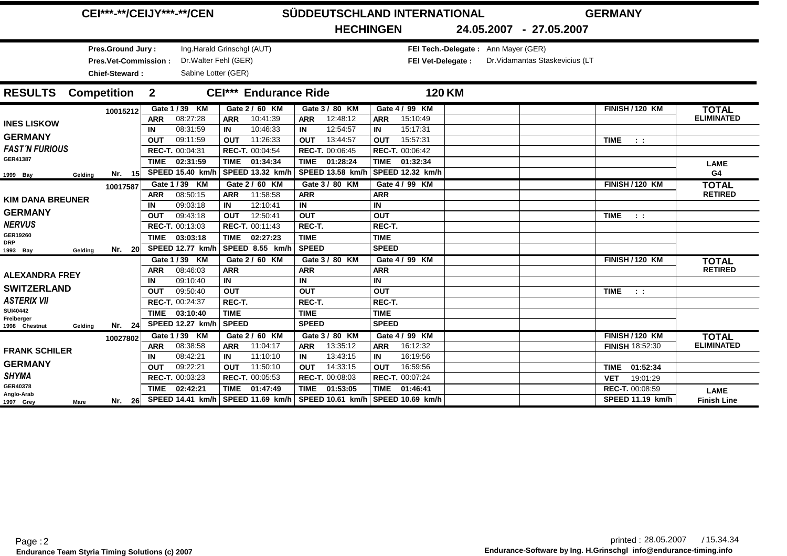|                                        | <b>CEI***-**/CEIJY***-**/CEN</b>                                   |                                                                          |                                                                            |                  |                                     |                  |                             |                   | SÜDDEUTSCHLAND INTERNATIONAL |                                     | <b>GERMANY</b>                  |                                           |                                   |
|----------------------------------------|--------------------------------------------------------------------|--------------------------------------------------------------------------|----------------------------------------------------------------------------|------------------|-------------------------------------|------------------|-----------------------------|-------------------|------------------------------|-------------------------------------|---------------------------------|-------------------------------------------|-----------------------------------|
|                                        |                                                                    |                                                                          |                                                                            |                  |                                     |                  | <b>HECHINGEN</b>            |                   |                              |                                     | 24.05.2007 - 27.05.2007         |                                           |                                   |
|                                        | Pres.Ground Jury:<br><b>Pres.Vet-Commission:</b><br>Chief-Steward: |                                                                          | Ing.Harald Grinschgl (AUT)<br>Dr. Walter Fehl (GER)<br>Sabine Lotter (GER) |                  |                                     |                  |                             |                   | <b>FEI Vet-Delegate:</b>     | FEI Tech.-Delegate: Ann Mayer (GER) | Dr. Vidamantas Staskevicius (LT |                                           |                                   |
| <b>RESULTS</b>                         | <b>Competition</b>                                                 | $\overline{2}$                                                           |                                                                            |                  | <b>CEI*** Endurance Ride</b>        |                  |                             |                   |                              | <b>120 KM</b>                       |                                 |                                           |                                   |
|                                        | 10015212                                                           | <b>ARR</b>                                                               | Gate 1 / 39 KM<br>08:27:28                                                 | <b>ARR</b>       | Gate 2 / 60 KM<br>10:41:39          | <b>ARR</b>       | Gate 3 / 80 KM<br>12:48:12  | <b>ARR</b>        | Gate 4 / 99 KM<br>15:10:49   |                                     |                                 | <b>FINISH/120 KM</b>                      | <b>TOTAL</b><br><b>ELIMINATED</b> |
| <b>INES LISKOW</b>                     |                                                                    | IN                                                                       | 08:31:59                                                                   | IN               | 10:46:33                            | IN               | 12:54:57                    | IN                | 15:17:31                     |                                     |                                 |                                           |                                   |
| <b>GERMANY</b>                         |                                                                    | <b>OUT</b>                                                               | 09:11:59                                                                   | OUT              | 11:26:33                            | <b>OUT</b>       | 13:44:57                    | <b>OUT</b>        | 15:57:31                     |                                     |                                 | <b>TIME</b><br>$-1$                       |                                   |
| <b>FAST'N FURIOUS</b>                  |                                                                    |                                                                          | REC-T. 00:04:31                                                            |                  | REC-T. 00:04:54                     |                  | REC-T. 00:06:45             |                   | REC-T. 00:06:42              |                                     |                                 |                                           |                                   |
| GER41387                               |                                                                    | TIME                                                                     | 02:31:59                                                                   | <b>TIME</b>      | 01:34:34                            | <b>TIME</b>      | 01:28:24                    |                   | TIME 01:32:34                |                                     |                                 |                                           | <b>LAME</b>                       |
| 1999 Bay<br>Gelding                    | Nr. 15                                                             | SPEED 15.40 km/h<br>SPEED 13.32 km/h<br>Gate 1 / 39 KM<br>Gate 2 / 60 KM |                                                                            |                  |                                     |                  | SPEED 13.58 km/h            |                   | SPEED 12.32 km/h             |                                     |                                 |                                           | G4                                |
|                                        | 10017587                                                           | <b>ARR</b>                                                               | 08:50:15                                                                   | <b>ARR</b>       | 11:58:58                            | ARR              | Gate 3 / 80 KM              | <b>ARR</b>        | Gate 4 / 99 KM               |                                     |                                 | <b>FINISH / 120 KM</b>                    | <b>TOTAL</b><br><b>RETIRED</b>    |
| <b>KIM DANA BREUNER</b>                |                                                                    | IN                                                                       | 09:03:18                                                                   | IN               | 12:10:41                            | IN               |                             | IN.               |                              |                                     |                                 |                                           |                                   |
| <b>GERMANY</b>                         |                                                                    | <b>OUT</b>                                                               | 09:43:18                                                                   | <b>OUT</b>       | 12:50:41                            | <b>OUT</b>       |                             | <b>OUT</b>        |                              |                                     |                                 | <b>TIME</b><br>$\sim 100$                 |                                   |
| <b>NERVUS</b>                          |                                                                    |                                                                          | REC-T. 00:13:03                                                            |                  | REC-T. 00:11:43                     | REC-T.           |                             | REC-T.            |                              |                                     |                                 |                                           |                                   |
| GER19260<br><b>DRP</b>                 |                                                                    | <b>TIME</b>                                                              | 03:03:18                                                                   | <b>TIME</b>      | 02:27:23                            | <b>TIME</b>      |                             | <b>TIME</b>       |                              |                                     |                                 |                                           |                                   |
| 1993 Bay<br>Geldina                    | Nr. 20                                                             |                                                                          | SPEED 12.77 km/h                                                           |                  | SPEED 8.55 km/h                     | <b>SPEED</b>     |                             | <b>SPEED</b>      |                              |                                     |                                 |                                           |                                   |
|                                        |                                                                    |                                                                          | Gate 1 / 39 KM                                                             |                  | Gate 2 / 60 KM                      |                  | Gate 3 / 80 KM              |                   | Gate 4 / 99 KM               |                                     |                                 | <b>FINISH / 120 KM</b>                    | <b>TOTAL</b>                      |
| <b>ALEXANDRA FREY</b>                  |                                                                    | <b>ARR</b>                                                               | 08:46:03                                                                   | <b>ARR</b>       |                                     | <b>ARR</b>       |                             | ARR               |                              |                                     |                                 |                                           | <b>RETIRED</b>                    |
| <b>SWITZERLAND</b>                     |                                                                    | IN<br><b>OUT</b>                                                         | 09:10:40<br>09:50:40                                                       | IN<br><b>OUT</b> |                                     | IN<br><b>OUT</b> |                             | IN.<br><b>OUT</b> |                              |                                     |                                 | <b>TIME</b>                               |                                   |
| <b>ASTERIX VII</b>                     |                                                                    |                                                                          | REC-T. 00:24:37                                                            | REC-T.           |                                     | REC-T.           |                             | REC-T.            |                              |                                     |                                 | -11                                       |                                   |
| <b>SUI40442</b>                        |                                                                    | TIME                                                                     | 03:10:40                                                                   | <b>TIME</b>      |                                     | <b>TIME</b>      |                             | <b>TIME</b>       |                              |                                     |                                 |                                           |                                   |
| Freiberger<br>1998 Chestnut<br>Gelding | Nr. $24$                                                           |                                                                          | SPEED 12.27 km/h                                                           | <b>SPEED</b>     |                                     | <b>SPEED</b>     |                             | <b>SPEED</b>      |                              |                                     |                                 |                                           |                                   |
|                                        | 10027802                                                           |                                                                          | Gate 1 / 39 KM                                                             |                  | Gate 2 / 60 KM                      |                  | Gate 3 / 80 KM              |                   | Gate 4 / 99 KM               |                                     |                                 | <b>FINISH / 120 KM</b>                    | <b>TOTAL</b>                      |
| <b>FRANK SCHILER</b>                   |                                                                    | <b>ARR</b>                                                               | 08:38:58                                                                   | <b>ARR</b>       | 11:04:17                            | <b>ARR</b>       | 13:35:12                    | <b>ARR</b>        | 16:12:32                     |                                     |                                 | FINISH 18:52:30                           | <b>ELIMINATED</b>                 |
| <b>GERMANY</b>                         |                                                                    | IN                                                                       | 08:42:21                                                                   | IN               | 11:10:10                            | IN               | 13:43:15                    | IN                | 16:19:56                     |                                     |                                 |                                           |                                   |
| <b>SHYMA</b>                           |                                                                    | <b>OUT</b>                                                               | 09:22:21<br>REC-T. 00:03:23                                                | <b>OUT</b>       | 11:50:10<br>REC-T. 00:05:53         | <b>OUT</b>       | 14:33:15<br>REC-T. 00:08:03 | OUT               | 16:59:56<br>REC-T. 00:07:24  |                                     |                                 | 01:52:34<br>TIME                          |                                   |
| GER40378                               |                                                                    | TIME                                                                     | 02:42:21                                                                   | <b>TIME</b>      | 01:47:49                            | <b>TIME</b>      | 01:53:05                    | <b>TIME</b>       | 01:46:41                     |                                     |                                 | 19:01:29<br><b>VET</b><br>REC-T. 00:08:59 |                                   |
| Anglo-Arab<br>1997 Grey<br>Mare        | Nr. 26                                                             |                                                                          |                                                                            |                  | SPEED 14.41 km/h   SPEED 11.69 km/h |                  | <b>SPEED 10.61 km/h</b>     |                   | SPEED 10.69 km/h             |                                     |                                 | SPEED 11.19 km/h                          | <b>LAME</b><br><b>Finish Line</b> |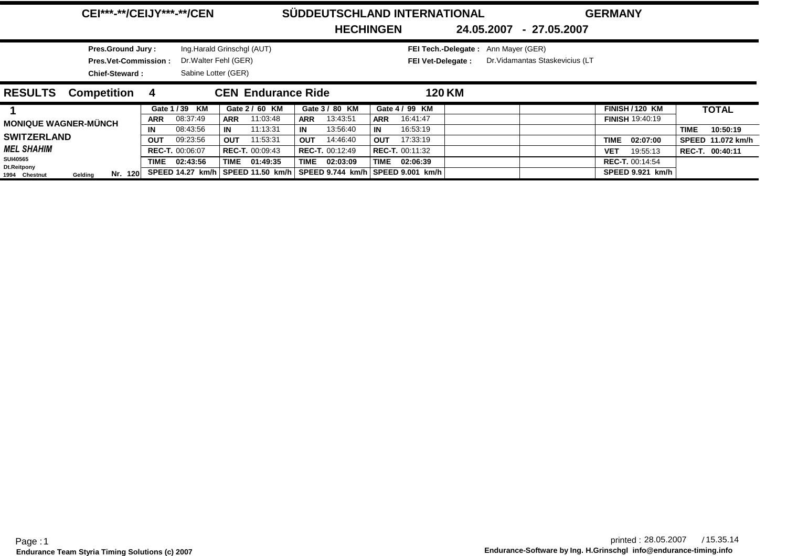|  | <b>CEI***-**/CEIJY***-**/CEN</b> |  |
|--|----------------------------------|--|
|--|----------------------------------|--|

**Pres.Ground Jury :**

**Chief-Steward :**

Ing.Harald Grinschgl (AUT)

Sabine Lotter (GER)

### $SÜDDEUTSCHLAND INTERNATIONAL$

**GERMANY**

**HECHINGEN**

) **FEI Tech.-Delegate :** Ann Mayer (GER)

Dr.Walter Fehl (GER)**Pres.Vet-Commission : FEI Vet-Delegate :** FEI Vet-Delegate : Dr. Vidamantas Staskevicius (LT

**24.05.2007 27.05.2007-**

| <b>RESULTS</b>               | <b>Competition</b> |         | - 4        |                        |            | <b>CEN Endurance Ride</b>                                           |             |                        |            |                        | 120 KM |                         |                 |                   |
|------------------------------|--------------------|---------|------------|------------------------|------------|---------------------------------------------------------------------|-------------|------------------------|------------|------------------------|--------|-------------------------|-----------------|-------------------|
|                              |                    |         |            | Gate 1/39 KM           |            | Gate 2 / 60 KM                                                      |             | Gate 3 / 80 KM         |            | Gate 4 / 99 KM         |        | FINISH/120 KM           |                 | <b>TOTAL</b>      |
| <b>MONIQUE WAGNER-MÜNCH</b>  |                    |         | <b>ARR</b> | 08:37:49               | <b>ARR</b> | 11:03:48                                                            | <b>ARR</b>  | 13:43:51               | <b>ARR</b> | 16:41:47               |        | <b>FINISH 19:40:19</b>  |                 |                   |
|                              |                    |         | IN         | 08:43:56               | IN         | 11:13:31                                                            | IN          | 13:56:40               | l IN       | 16:53:19               |        |                         | <b>TIME</b>     | 10:50:19          |
| <b>SWITZERLAND</b>           |                    |         | OUT        | 09:23:56               | OUT        | 11:53:31                                                            | <b>OUT</b>  | 14:46:40               | <b>OUT</b> | 17:33:19               |        | <b>TIME</b><br>02:07:00 |                 | SPEED 11.072 km/h |
| <b>MEL SHAHIM</b>            |                    |         |            | <b>REC-T. 00:06:07</b> |            | <b>REC-T. 00:09:43</b>                                              |             | <b>REC-T. 00:12:49</b> |            | <b>REC-T.</b> 00:11:32 |        | 19:55:13<br><b>VET</b>  | REC-T. 00:40:11 |                   |
| <b>SUI40565</b>              |                    |         | TIME       | 02:43:56               | TIME       | 01:49:35                                                            | <b>TIME</b> | 02:03:09               | TIME       | 02:06:39               |        | <b>REC-T. 00:14:54</b>  |                 |                   |
| Dt.Reitpony<br>1994 Chestnut | Gelding            | Nr. 120 |            |                        |            | SPEED 14.27 km/h SPEED 11.50 km/h SPEED 9.744 km/h SPEED 9.001 km/h |             |                        |            |                        |        | SPEED 9.921 km/h        |                 |                   |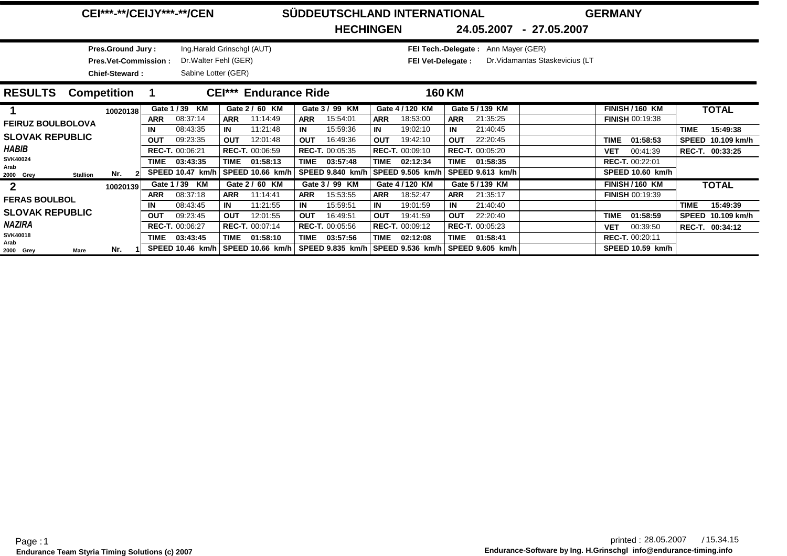|  | <b>CEI***-**/CEIJY***-**/CEN</b> |  |
|--|----------------------------------|--|
|--|----------------------------------|--|

### $SÜDDEUTSCHLAND INTERNATIONAL$

) **FEI Tech.-Delegate :** Ann Mayer (GER)

**GERMANY**

**HECHINGEN**

**24.05.2007 27.05.2007-**

Ing.Harald Grinschgl (AUT)Sabine Lotter (GER)Dr.Walter Fehl (GER)**Pres.Vet-Commission : FEI Vet-Delegate : Pres.Ground Jury :Chief-Steward :**

FEI Vet-Delegate : Dr. Vidamantas Staskevicius (LT

| <b>RESULTS</b>           | <b>Competition</b>     |          |            |                         |            | <b>CEI*** Endurance Ride</b> |            |                         |            |                        | <b>160 KM</b> |                        |             |                        |              |                 |
|--------------------------|------------------------|----------|------------|-------------------------|------------|------------------------------|------------|-------------------------|------------|------------------------|---------------|------------------------|-------------|------------------------|--------------|-----------------|
|                          |                        | 10020138 |            | Gate 1/39 KM            |            | Gate 2 / 60 KM               |            | Gate 3 / 99 KM          |            | Gate 4 / 120 KM        |               | Gate 5/139 KM          |             | <b>FINISH / 160 KM</b> |              | <b>TOTAL</b>    |
| <b>FEIRUZ BOULBOLOVA</b> |                        |          | <b>ARR</b> | 08:37:14                | <b>ARR</b> | 11:14:49                     | <b>ARR</b> | 15:54:01                | <b>ARR</b> | 18:53:00               | <b>ARR</b>    | 21:35:25               |             | <b>FINISH 00:19:38</b> |              |                 |
|                          |                        |          | IN         | 08:43:35                | IN         | 11:21:48                     | IN         | 15:59:36                | IN         | 19:02:10               | IN            | 21:40:45               |             |                        | <b>TIME</b>  | 15:49:38        |
| <b>SLOVAK REPUBLIC</b>   |                        |          | <b>OUT</b> | 09:23:35                | OUT        | 12:01:48                     | <b>OUT</b> | 16:49:36                | <b>OUT</b> | 19:42:10               | <b>OUT</b>    | 22:20:45               | <b>TIME</b> | 01:58:53               | <b>SPEED</b> | 10.109 km/h     |
| <b>HABIB</b>             |                        |          |            | <b>REC-T. 00:06:21</b>  |            | <b>REC-T. 00:06:59</b>       |            | <b>REC-T. 00:05:35</b>  |            | <b>REC-T.</b> 00:09:10 |               | <b>REC-T. 00:05:20</b> | VET         | 00:41:39               |              | REC-T. 00:33:25 |
| <b>SVK40024</b>          |                        |          | TIME       | 03:43:35                | TIME       | 01:58:13                     | TIME       | 03:57:48                | TIME       | 02:12:34               |               | TIME 01:58:35          |             | <b>REC-T. 00:22:01</b> |              |                 |
| Arab<br>2000 Grey        | Nr.<br><b>Stallion</b> |          |            | <b>SPEED 10.47 km/h</b> |            | SPEED 10.66 km/h             |            | <b>SPEED 9.840 km/h</b> |            | SPEED 9.505 km/h       |               | SPEED 9.613 km/h       |             | SPEED 10.60 km/h       |              |                 |
| $\mathbf{2}$             |                        | 10020139 |            | Gate 1/39 KM            |            | Gate 2 / 60 KM               |            | Gate 3 / 99 KM          |            | Gate 4 / 120 KM        |               | Gate 5/139 KM          |             | <b>FINISH / 160 KM</b> |              | <b>TOTAL</b>    |
| <b>FERAS BOULBOL</b>     |                        |          | <b>ARR</b> | 08:37:18                | <b>ARR</b> | 11:14:41                     | <b>ARR</b> | 15:53:55                | <b>ARR</b> | 18:52:47               | <b>ARR</b>    | 21:35:17               |             | <b>FINISH 00:19:39</b> |              |                 |
|                          |                        |          | IN         | 08:43:45                | IN         | 11:21:55                     | IN         | 15:59:51                | IN         | 19:01:59               | IN            | 21:40:40               |             |                        | <b>TIME</b>  | 15:49:39        |
| <b>SLOVAK REPUBLIC</b>   |                        |          | <b>OUT</b> | 09:23:45                | <b>OUT</b> | 12:01:55                     | <b>OUT</b> | 16:49:51                | <b>OUT</b> | 19:41:59               | <b>OUT</b>    | 22:20:40               | <b>TIME</b> | 01:58:59               | <b>SPEED</b> | 10.109 km/h     |
| <b>NAZIRA</b>            |                        |          |            | <b>REC-T. 00:06:27</b>  |            | REC-T. 00:07:14              |            | <b>REC-T. 00:05:56</b>  |            | <b>REC-T.</b> 00:09:12 |               | <b>REC-T. 00:05:23</b> | <b>VET</b>  | 00:39:50               |              | REC-T. 00:34:12 |
| <b>SVK40018</b><br>Arab  |                        |          | TIME       | 03:43:45                | TIME       | 01:58:10                     | TIME       | 03:57:56                | TIME       | 02:12:08               | TIME          | 01:58:41               |             | <b>REC-T. 00:20:11</b> |              |                 |
| Mare<br>2000 Grey        | Nr.                    |          |            | SPEED 10.46 km/h        |            | SPEED 10.66 km/h             |            | SPEED 9.835 km/h        |            |                        |               |                        |             | SPEED 10.59 km/h       |              |                 |